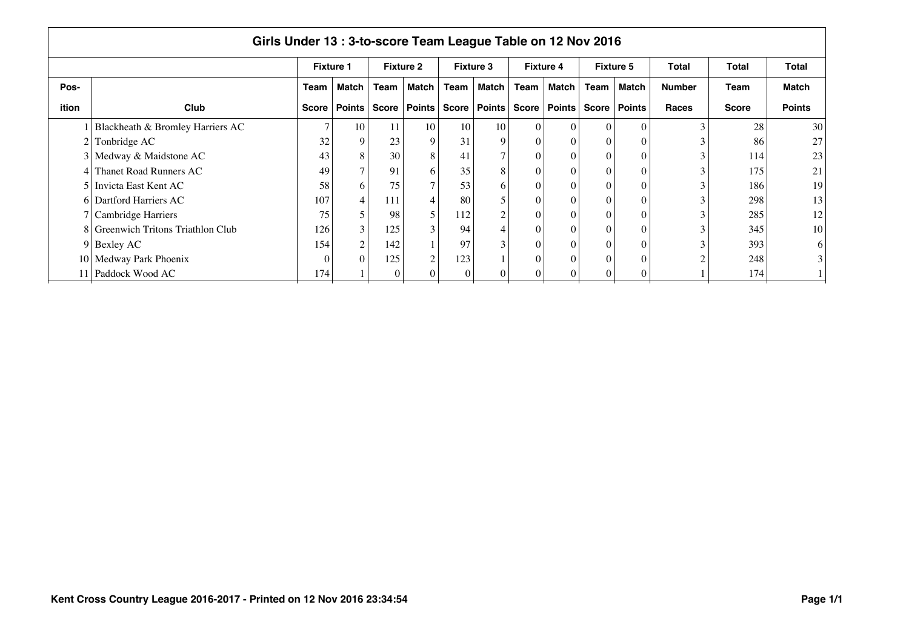| Girls Under 13 : 3-to-score Team League Table on 12 Nov 2016 |                                    |                  |                                                  |      |                  |          |                  |          |                  |              |                  |               |              |               |
|--------------------------------------------------------------|------------------------------------|------------------|--------------------------------------------------|------|------------------|----------|------------------|----------|------------------|--------------|------------------|---------------|--------------|---------------|
|                                                              |                                    | <b>Fixture 1</b> |                                                  |      | <b>Fixture 2</b> |          | <b>Fixture 3</b> |          | <b>Fixture 4</b> |              | <b>Fixture 5</b> | Total         | Total        | <b>Total</b>  |
| Pos-                                                         |                                    | Team             | Match                                            | Team | <b>Match</b>     | Team     | Match            | Team     | Match            | Team         | Match            | <b>Number</b> | Team         | <b>Match</b>  |
| ition                                                        | Club                               |                  | Score   Points   Score   Points   Score   Points |      |                  |          |                  |          | Score   Points   | <b>Score</b> | <b>Points</b>    | <b>Races</b>  | <b>Score</b> | <b>Points</b> |
|                                                              | Blackheath & Bromley Harriers AC   | $\tau$           | 10                                               | 11   | 10               | 10       | 10               | $\Omega$ | $\theta$         |              |                  |               | 28           | 30            |
|                                                              | Tonbridge AC                       | 32               | 9                                                | 23   | 9                | 31       | 9                | $\theta$ | $\overline{0}$   |              | $\Omega$         |               | 86           | 27            |
|                                                              | Medway & Maidstone AC              | 43               | 8                                                | 30   | 8                | 41       |                  | $\theta$ | $\overline{0}$   |              |                  |               | 114          | 23            |
|                                                              | Thanet Road Runners AC             | 49               | $\tau$                                           | 91   | 6                | 35       | 8                | $\theta$ | $\overline{0}$   | 0            | $\theta$         |               | 175          | 21            |
|                                                              | 5 Invicta East Kent AC             | 58               | 6                                                | 75   | $\tau$           | 53       | 6                | $\theta$ | $\overline{0}$   |              | $\theta$         |               | 186          | 19            |
|                                                              | 6 Dartford Harriers AC             | 107              | $\overline{4}$                                   | 111  | $\overline{4}$   | 80       |                  | $\Omega$ | $\Omega$         |              | $\Omega$         |               | 298          | 13            |
|                                                              | 7 Cambridge Harriers               | 75               | 5                                                | 98   | 5 <sup>1</sup>   | 112      | $\gamma$         | $\Omega$ | $\Omega$         |              | $\Omega$         |               | 285          | $12 \,$       |
|                                                              | 8 Greenwich Tritons Triathlon Club | 126              | 3                                                | 125  | 3 <sup>1</sup>   | 94       |                  |          | $\theta$         |              | $\Omega$         |               | 345          | 10            |
|                                                              | 9 Bexley AC                        | 154              | $\overline{2}$                                   | 142  |                  | 97       | 3                | $\theta$ | $\overline{0}$   |              | $\Omega$         |               | 393          | 6             |
|                                                              | 10 Medway Park Phoenix             | $\Omega$         | $\theta$                                         | 125  | 2                | 123      |                  |          | $\Omega$         |              |                  |               | 248          | 3             |
|                                                              | 11 Paddock Wood AC                 | 174              |                                                  | 0    |                  | $\theta$ |                  |          | 0                |              |                  |               | 174          |               |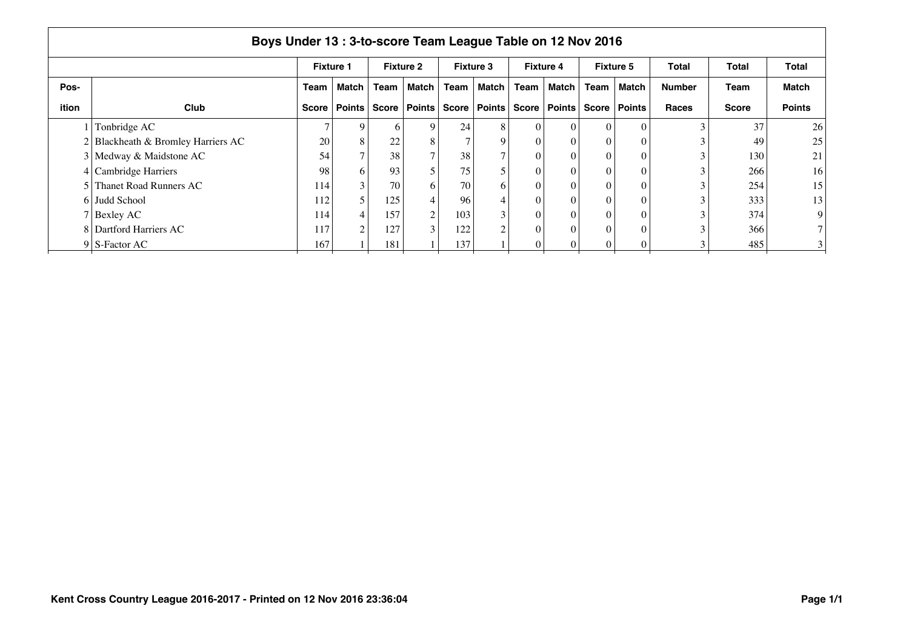| Boys Under 13: 3-to-score Team League Table on 12 Nov 2016 |                                  |                  |                |              |                  |              |                  |              |                  |              |                  |               |              |                |
|------------------------------------------------------------|----------------------------------|------------------|----------------|--------------|------------------|--------------|------------------|--------------|------------------|--------------|------------------|---------------|--------------|----------------|
|                                                            |                                  | <b>Fixture 1</b> |                |              | <b>Fixture 2</b> |              | <b>Fixture 3</b> |              | <b>Fixture 4</b> |              | <b>Fixture 5</b> | Total         | <b>Total</b> | <b>Total</b>   |
| Pos-                                                       |                                  | Team             | <b>Match</b>   | <b>Team</b>  | Match            | <b>Team</b>  | <b>Match</b>     | Team         | <b>Match</b>     | Team         | <b>Match</b>     | <b>Number</b> | Team         | <b>Match</b>   |
| ition                                                      | Club                             | Score            | <b>Points</b>  | <b>Score</b> | <b>Points</b>    | <b>Score</b> | Points           | <b>Score</b> | <b>Points</b>    | <b>Score</b> | Points           | <b>Races</b>  | <b>Score</b> | <b>Points</b>  |
|                                                            | Tonbridge AC                     |                  | q              | 6            |                  | 24           | 8                |              |                  |              |                  |               | 37           | 26             |
|                                                            | Blackheath & Bromley Harriers AC | 20               | 8              | 22           | 8                |              | 9                |              | $\theta$         |              | $\Omega$         |               | 49           | 25             |
|                                                            | 3 Medway & Maidstone AC          | 54               |                | 38           |                  | 38           |                  |              | $\theta$         |              | $\Omega$         |               | 130          | 21             |
|                                                            | 4 Cambridge Harriers             | 98               | 6              | 93           |                  | 75           |                  |              | $\theta$         |              | $\Omega$         |               | 266          | 16             |
|                                                            | Thanet Road Runners AC           | 114              | 3              | 70           | 6                | 70,          | 6                | $\Omega$     | $\theta$         |              | $\Omega$         |               | 254          | 15             |
|                                                            | 6 Judd School                    | 112              | 5              | 125          |                  | 96           |                  |              | $\theta$         |              | $\Omega$         |               | 333          | 13             |
|                                                            | 7 Bexley AC                      | 114              | $\overline{4}$ | 157          | 2                | 103          | 3                | $\Omega$     | $\theta$         |              | $\Omega$         |               | 374          | $\overline{9}$ |
|                                                            | 8 Dartford Harriers AC           | 117              | $\Omega$       | 127          |                  | 122          | $\bigcap$        |              | $\Omega$         |              |                  |               | 366          |                |
|                                                            | $9 \mid S$ -Factor AC            | 167              |                | 181          |                  | 137          |                  |              |                  |              |                  |               | 485          | 3              |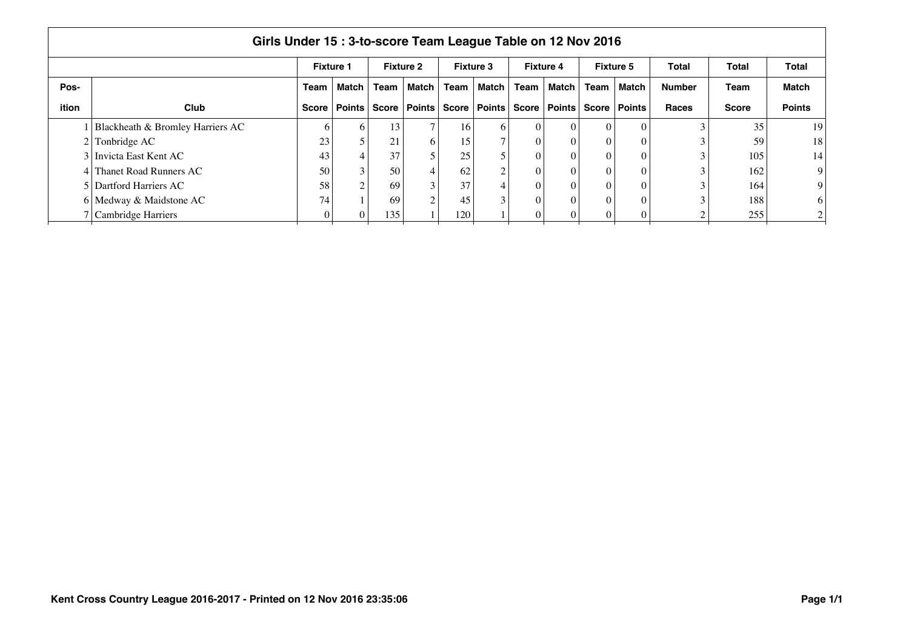| Girls Under 15: 3-to-score Team League Table on 12 Nov 2016 |                                  |                  |               |              |                  |      |                  |              |                  |              |                  |               |              |                |
|-------------------------------------------------------------|----------------------------------|------------------|---------------|--------------|------------------|------|------------------|--------------|------------------|--------------|------------------|---------------|--------------|----------------|
|                                                             |                                  | <b>Fixture 1</b> |               |              | <b>Fixture 2</b> |      | <b>Fixture 3</b> |              | <b>Fixture 4</b> |              | <b>Fixture 5</b> | <b>Total</b>  | Total        | <b>Total</b>   |
| Pos-                                                        |                                  | Team             | Match         | Team         | Match            | Team | Match            | Team         | l Match          | Team         | Match            | <b>Number</b> | Team         | <b>Match</b>   |
| <b>ition</b>                                                | Club                             | <b>Score</b>     | <b>Points</b> | <b>Score</b> | <b>Points</b>    |      | Score   Points   | <b>Score</b> | <b>Points</b>    | <b>Score</b> | <b>Points</b>    | Races         | <b>Score</b> | <b>Points</b>  |
|                                                             | Blackheath & Bromley Harriers AC | <sub>0</sub>     | 6             | 13           |                  | 16   | 6                |              | $\theta$         |              | $\Omega$         |               | 35           | 19             |
|                                                             | Tonbridge AC                     | 23               |               | 21           | 6                | 15   |                  |              | 0                |              |                  |               | 59           | 18             |
|                                                             | 3 Invicta East Kent AC           | 43               |               | 37           |                  | 25   |                  |              | 0                |              |                  |               | 105          | 14             |
|                                                             | Thanet Road Runners AC           | 50               | 3             | 50           |                  | 62   |                  |              | $\theta$         |              |                  |               | 162          | 9 <sup>1</sup> |
|                                                             | 5 Dartford Harriers AC           | 58               | $\sim$        | 69           |                  | 37   |                  |              | 0                |              |                  |               | 164          | 9 <sup>1</sup> |
|                                                             | 6 Medway & Maidstone AC          | 74               |               | 69           |                  | 45   | $\sim$           |              | 0                |              |                  |               | 188          | 6              |
|                                                             | 7 Cambridge Harriers             |                  |               | 135          |                  | 120  |                  |              |                  |              |                  |               | 255          | $\overline{2}$ |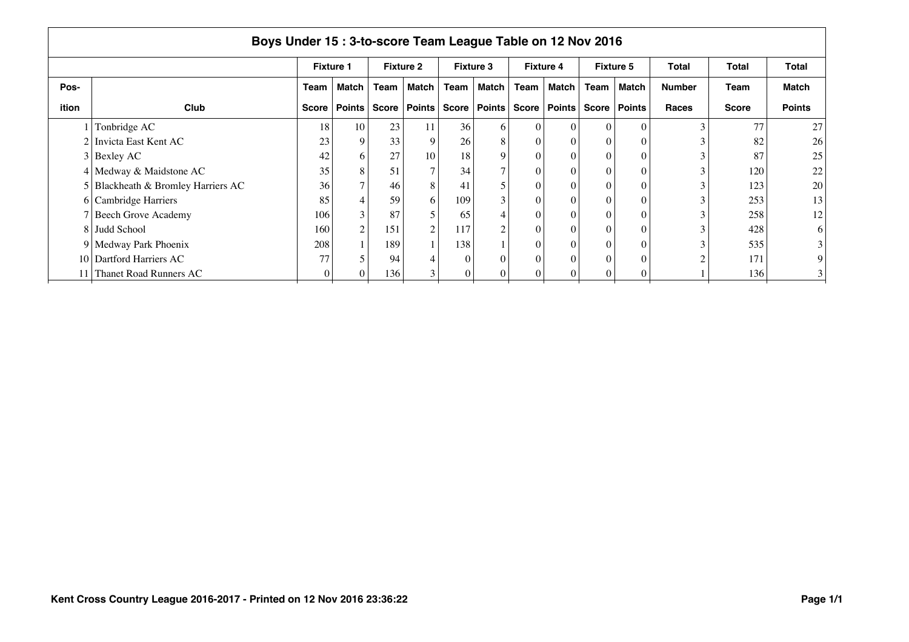| Boys Under 15: 3-to-score Team League Table on 12 Nov 2016 |                                    |          |                  |      |                  |                |                                 |          |                  |              |                  |               |              |               |
|------------------------------------------------------------|------------------------------------|----------|------------------|------|------------------|----------------|---------------------------------|----------|------------------|--------------|------------------|---------------|--------------|---------------|
|                                                            |                                    |          | <b>Fixture 1</b> |      | <b>Fixture 2</b> |                | <b>Fixture 3</b>                |          | <b>Fixture 4</b> |              | <b>Fixture 5</b> | Total         | Total        | <b>Total</b>  |
| Pos-                                                       |                                    | Team     | Match            | Team | <b>Match</b>     | Team           | Match                           | Team     | Match            | Team         | Match            | <b>Number</b> | Team         | <b>Match</b>  |
| ition                                                      | Club                               |          | Score   Points   |      |                  |                | Score   Points   Score   Points |          | Score   Points   | <b>Score</b> | <b>Points</b>    | <b>Races</b>  | <b>Score</b> | <b>Points</b> |
|                                                            | Tonbridge AC                       | 18       | 10               | 23   | 11               | 36             | 6                               | 0        | $\theta$         |              |                  |               | 77           | 27            |
|                                                            | 2 Invicta East Kent AC             | 23       | 9                | 33   | 9                | 26             | 8                               | 0        | $\overline{0}$   |              | $\Omega$         |               | 82           | 26            |
|                                                            | $3$ Bexley AC                      | 42       | 6                | 27   | 10 <sub>1</sub>  | 18             | 9                               | $\theta$ | $\overline{0}$   |              |                  |               | 87           | 25            |
|                                                            | 4 Medway & Maidstone AC            | 35       | 8                | 51   |                  | 34             |                                 | $\theta$ | $\overline{0}$   |              | $\theta$         |               | 120          | 22            |
|                                                            | 5 Blackheath & Bromley Harriers AC | 36       | 7 <sub>1</sub>   | 46   | 8                | 41             |                                 | $\theta$ | $\overline{0}$   |              | $\theta$         |               | 123          | 20            |
|                                                            | 6 Cambridge Harriers               | 85       | $\overline{4}$   | 59   | 6                | 109            |                                 | $\Omega$ | $\Omega$         |              | $\Omega$         |               | 253          | 13            |
|                                                            | 7 Beech Grove Academy              | 106      | $\overline{3}$   | 87   | 5 <sub>1</sub>   | 65             |                                 | 0        | $\Omega$         |              | $\Omega$         |               | 258          | 12            |
| 81                                                         | <b>Judd School</b>                 | 160      | $\overline{2}$   | 151  | 2 <sub>1</sub>   | 117            | $\sim$                          |          | $\theta$         |              | $\Omega$         |               | 428          | 6             |
|                                                            | 9   Medway Park Phoenix            | 208      |                  | 189  |                  | 138            |                                 | 0        | $\overline{0}$   |              | $\Omega$         |               | 535          | 3             |
|                                                            | 10 Dartford Harriers AC            | 77       | 5                | 94   |                  | $\Omega$       | $\Omega$                        |          | $\Omega$         |              |                  |               | 171          | 9             |
|                                                            | Thanet Road Runners AC             | $\Omega$ | $\theta$         | 136  |                  | $\overline{0}$ |                                 |          |                  |              |                  |               | 136          | 3             |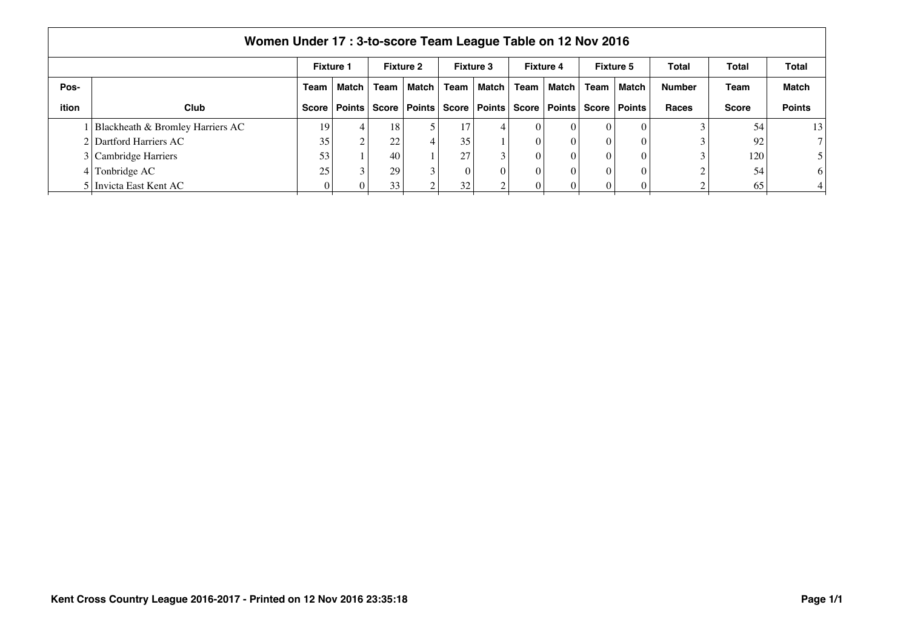|       | Women Under 17 : 3-to-score Team League Table on 12 Nov 2016 |                  |                |       |                  |      |                         |      |                        |      |                  |               |              |                 |  |
|-------|--------------------------------------------------------------|------------------|----------------|-------|------------------|------|-------------------------|------|------------------------|------|------------------|---------------|--------------|-----------------|--|
|       |                                                              | <b>Fixture 1</b> |                |       | <b>Fixture 2</b> |      | Fixture 3               |      | <b>Fixture 4</b>       |      | <b>Fixture 5</b> | Total         | Total        | <b>Total</b>    |  |
| Pos-  |                                                              | Team             | Match I        | Team  | Match I          | Team | Match                   | Team | Match I                | Team | Match            | <b>Number</b> | <b>Team</b>  | <b>Match</b>    |  |
| ition | Club                                                         |                  | Score   Points | Score |                  |      | Points   Score   Points |      | Score   Points   Score |      | Points           | Races         | <b>Score</b> | <b>Points</b>   |  |
|       | Blackheath & Bromley Harriers AC                             | 19               |                | 18    |                  | 17   |                         |      | $\theta$               |      |                  |               | 54           | 13 <sup>1</sup> |  |
|       | 2 Dartford Harriers AC                                       | 35               | $\sim$         | 22    | 4                | 35   |                         |      | 0                      |      |                  |               | 92           | 7 <sup>1</sup>  |  |
|       | 3 Cambridge Harriers                                         | 53               |                | 40    |                  | 27   |                         |      | $\theta$               |      |                  |               | 120          |                 |  |
|       | Tonbridge AC                                                 | 25               |                | 29    |                  |      |                         |      | $\theta$               |      | $\Omega$         |               | 54           | <sup>6</sup>    |  |
|       | Invicta East Kent AC                                         |                  |                | 33    |                  | 32   |                         |      |                        |      |                  |               | 65           |                 |  |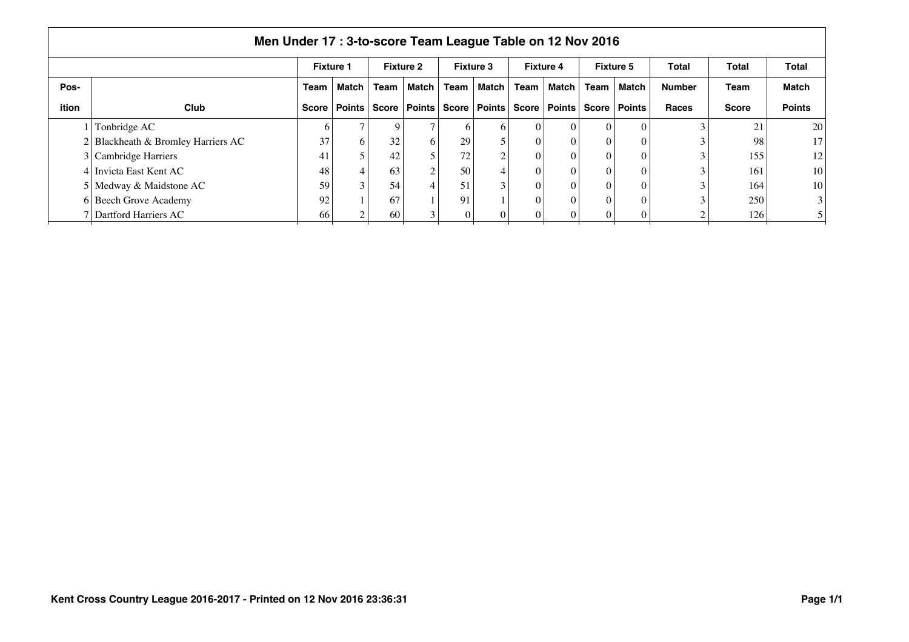| Men Under 17 : 3-to-score Team League Table on 12 Nov 2016 |                                      |                  |              |              |                  |              |                  |              |                  |              |                  |               |              |                 |
|------------------------------------------------------------|--------------------------------------|------------------|--------------|--------------|------------------|--------------|------------------|--------------|------------------|--------------|------------------|---------------|--------------|-----------------|
|                                                            |                                      | <b>Fixture 1</b> |              |              | <b>Fixture 2</b> |              | <b>Fixture 3</b> |              | <b>Fixture 4</b> |              | <b>Fixture 5</b> | Total         | Total        | <b>Total</b>    |
| Pos-                                                       |                                      | Team             | <b>Match</b> | <b>Team</b>  | Match            | Team         | Match            | Team         | <b>Match</b>     | Team         | Match            | <b>Number</b> | Team         | <b>Match</b>    |
| ition                                                      | <b>Club</b>                          | <b>Score</b>     | Points       | <b>Score</b> | Points           | Score I      | Points I         | <b>Score</b> | Points           | <b>Score</b> | <b>Points</b>    | Races         | <b>Score</b> | <b>Points</b>   |
|                                                            | Tonbridge AC                         | <sub>0</sub>     |              |              | 7                | <sub>0</sub> | 6                |              | $\theta$         | 0            | 0                |               | 21           | 20              |
|                                                            | $2$ Blackheath & Bromley Harriers AC | 37               | h            | 32           | 6                | 29           |                  |              | 0                |              |                  |               | 98           | 17 <sup>1</sup> |
|                                                            | 3 Cambridge Harriers                 | 41               |              | 42           | 5                | 72           |                  |              | 0                |              |                  |               | 155          | 12              |
|                                                            | 4 Invicta East Kent AC               | 48               |              | 63           | $\sim$           | 50           |                  |              | 0                |              |                  |               | 161          | 10 <sup>1</sup> |
|                                                            | 5 Medway & Maidstone AC              | 59               | $\sim$       | 54           |                  | 51           |                  |              | 0                |              |                  |               | 164          | 10 <sup>1</sup> |
|                                                            | 6 Beech Grove Academy                | 92               |              | 67           |                  | 91           |                  |              | 0                |              |                  |               | 250          | 3 <sup>1</sup>  |
|                                                            | 7 Dartford Harriers AC               | 66               |              | 60           |                  |              |                  |              | 0                |              |                  |               | 126          | 5 <sup>1</sup>  |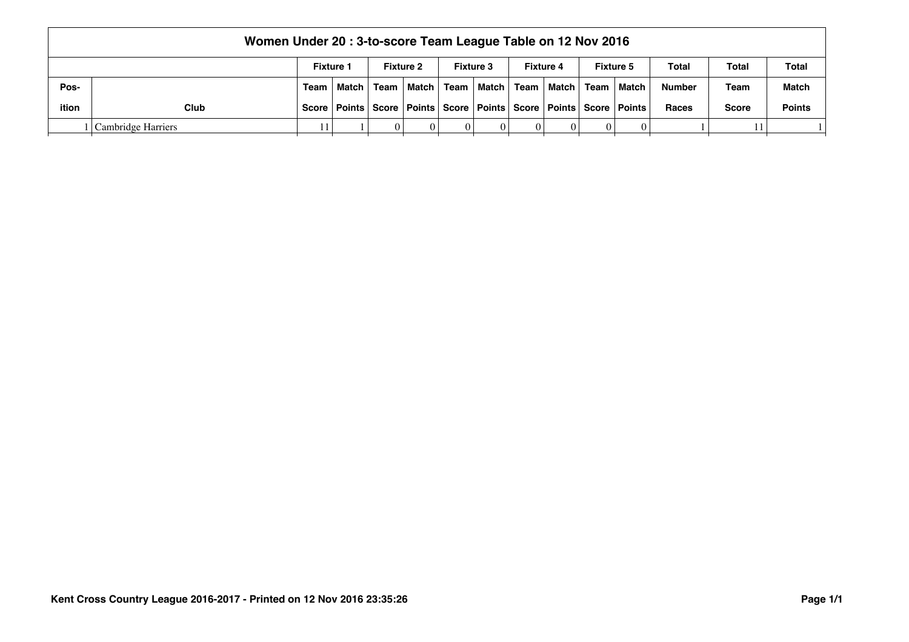|       | Women Under 20: 3-to-score Team League Table on 12 Nov 2016 |  |                                                                                    |   |                  |  |                                                |  |                  |  |                  |               |              |               |
|-------|-------------------------------------------------------------|--|------------------------------------------------------------------------------------|---|------------------|--|------------------------------------------------|--|------------------|--|------------------|---------------|--------------|---------------|
|       |                                                             |  | <b>Fixture 1</b>                                                                   |   | <b>Fixture 2</b> |  | <b>Fixture 3</b>                               |  | <b>Fixture 4</b> |  | <b>Fixture 5</b> | Total         | Total        | <b>Total</b>  |
| Pos-  |                                                             |  | Team   Match   Team                                                                |   |                  |  | │ Match │ Team │ Match │ Team │ Match │ Team ∣ |  |                  |  | ∣ Match          | <b>Number</b> | Team         | <b>Match</b>  |
| ition | Club                                                        |  | Score   Points   Score   Points   Score   Points   Score   Points   Score   Points |   |                  |  |                                                |  |                  |  |                  | <b>Races</b>  | <b>Score</b> | <b>Points</b> |
|       | Cambridge Harriers                                          |  |                                                                                    | 0 |                  |  |                                                |  |                  |  |                  |               | 11           |               |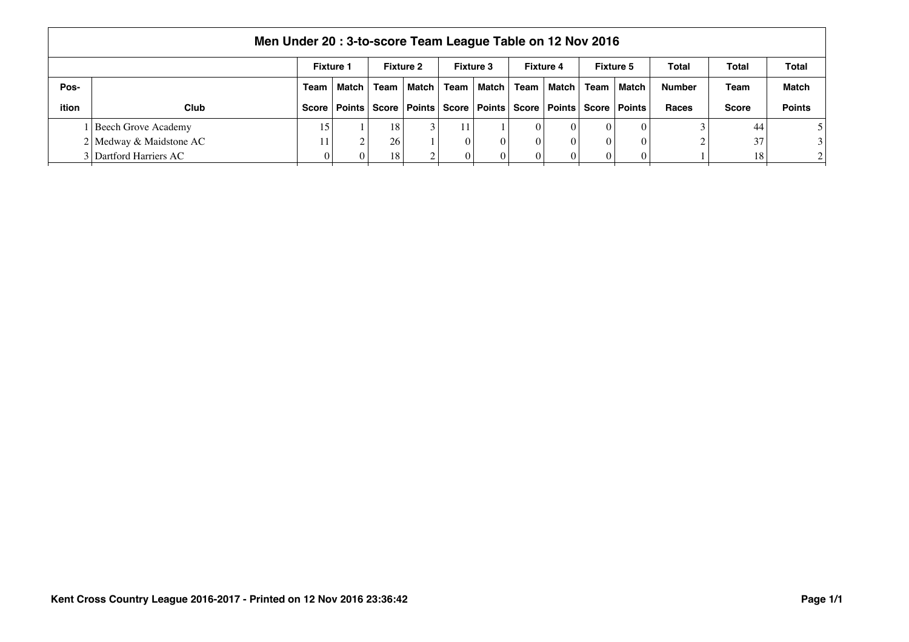|       | Men Under 20: 3-to-score Team League Table on 12 Nov 2016 |                  |                        |      |                         |        |                  |             |                        |  |                  |               |              |                |
|-------|-----------------------------------------------------------|------------------|------------------------|------|-------------------------|--------|------------------|-------------|------------------------|--|------------------|---------------|--------------|----------------|
|       |                                                           | <b>Fixture 1</b> |                        |      | <b>Fixture 2</b>        |        | <b>Fixture 3</b> |             | <b>Fixture 4</b>       |  | <b>Fixture 5</b> | Total         | Total        | Total          |
| Pos-  |                                                           |                  | Match I                | Team | Match I                 | Team l | ∣ Match I        | <b>Team</b> | ∣Match ∣ Team          |  | Match            | <b>Number</b> | Team         | <b>Match</b>   |
| ition | <b>Club</b>                                               |                  | Score   Points   Score |      | Points   Score   Points |        |                  |             | Score   Points   Score |  | Points           | <b>Races</b>  | <b>Score</b> | <b>Points</b>  |
|       | Beech Grove Academy                                       | 15               |                        | 18   |                         |        |                  |             | $\theta$               |  | $\Omega$         |               | 44           |                |
|       | $2$ Medway & Maidstone AC                                 |                  | $\sim$                 | 26   |                         |        |                  |             |                        |  | $\Omega$         |               | 37           | $\frac{3}{ }$  |
|       | 3 Dartford Harriers AC                                    |                  |                        | 18   |                         |        |                  |             |                        |  | $\Omega$         |               | 18           | 2 <sub>1</sub> |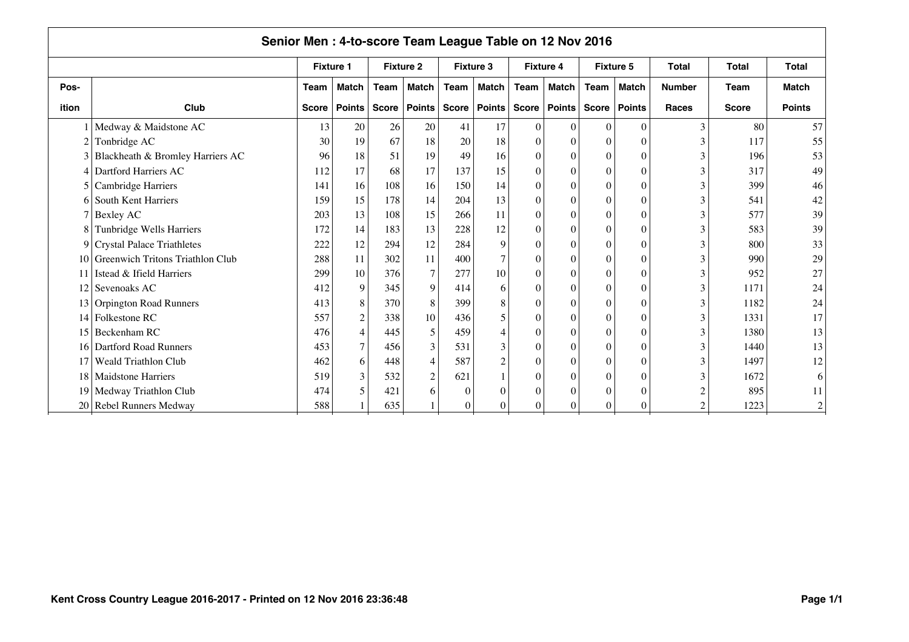| Senior Men: 4-to-score Team League Table on 12 Nov 2016 |                                     |                  |                |              |                  |          |                  |                |                  |          |                  |               |              |                |
|---------------------------------------------------------|-------------------------------------|------------------|----------------|--------------|------------------|----------|------------------|----------------|------------------|----------|------------------|---------------|--------------|----------------|
|                                                         |                                     | <b>Fixture 1</b> |                |              | <b>Fixture 2</b> |          | <b>Fixture 3</b> |                | <b>Fixture 4</b> |          | <b>Fixture 5</b> | <b>Total</b>  | <b>Total</b> | <b>Total</b>   |
| Pos-                                                    |                                     | Team             | <b>Match</b>   | Team         | Match            | Team     | <b>Match</b>     | Team           | Match            | Team     | <b>Match</b>     | <b>Number</b> | <b>Team</b>  | <b>Match</b>   |
| ition                                                   | Club                                | <b>Score</b>     | <b>Points</b>  | <b>Score</b> | Points           |          | Score   Points   |                | Score   Points   |          | Score   Points   | <b>Races</b>  | <b>Score</b> | <b>Points</b>  |
|                                                         | Medway & Maidstone AC               | 13               | 20             | 26           | 20               | 41       | 17               | $\theta$       | $\theta$         | $\Omega$ | $\theta$         |               | 80           | 57             |
| 2                                                       | Tonbridge AC                        | 30               | 19             | 67           | 18               | 20       | 18               | $\theta$       | $\Omega$         | $\Omega$ | $\Omega$         |               | 117          | 55             |
| 3                                                       | Blackheath & Bromley Harriers AC    | 96               | 18             | 51           | 19               | 49       | 16               | $\Omega$       | $\Omega$         | $\Omega$ | $\Omega$         |               | 196          | 53             |
| 4                                                       | Dartford Harriers AC                | 112              | 17             | 68           | 17               | 137      | 15               | $\Omega$       | $\boldsymbol{0}$ | $\theta$ | $\theta$         |               | 317          | 49             |
| 5                                                       | Cambridge Harriers                  | 141              | 16             | 108          | 16               | 150      | 14               | $\theta$       | $\boldsymbol{0}$ | $\Omega$ | $\Omega$         |               | 399          | 46             |
| 6                                                       | South Kent Harriers                 | 159              | 15             | 178          | 14               | 204      | 13               | $\theta$       | $\theta$         | $\Omega$ | $\Omega$         |               | 541          | 42             |
|                                                         | Bexley AC                           | 203              | 13             | 108          | 15               | 266      | 11               | $\theta$       | $\theta$         | $\theta$ | $\Omega$         |               | 577          | 39             |
| 8                                                       | Tunbridge Wells Harriers            | 172              | 14             | 183          | 13               | 228      | 12               | $\overline{0}$ | $\Omega$         | $\Omega$ | $\Omega$         |               | 583          | 39             |
|                                                         | 9 Crystal Palace Triathletes        | 222              | 12             | 294          | 12               | 284      | 9                | $\Omega$       | $\Omega$         | $\Omega$ | $\Omega$         |               | 800          | 33             |
|                                                         | 10 Greenwich Tritons Triathlon Club | 288              | 11             | 302          | 11               | 400      | $\overline{7}$   | $\theta$       | $\theta$         | $\Omega$ | $\theta$         |               | 990          | 29             |
| 11                                                      | Istead & Ifield Harriers            | 299              | 10             | 376          | $\tau$           | 277      | 10               | $\theta$       | $\overline{0}$   | $\Omega$ | $\theta$         |               | 952          | 27             |
|                                                         | 12 Sevenoaks AC                     | 412              | 9              | 345          | 9                | 414      | 6                | $\theta$       | $\theta$         | $\theta$ | $\Omega$         |               | 1171         | 24             |
|                                                         | 13 Orpington Road Runners           | 413              | 8              | 370          | 8                | 399      | 8                | $\Omega$       | $\theta$         | $\Omega$ | $\Omega$         |               | 1182         | 24             |
| 14                                                      | Folkestone RC                       | 557              | $\sqrt{2}$     | 338          | 10               | 436      | $\overline{5}$   | $\Omega$       | $\Omega$         | $\Omega$ | $\Omega$         |               | 1331         | 17             |
| 15 <sup>1</sup>                                         | <b>Beckenham RC</b>                 | 476              | $\overline{4}$ | 445          | 5                | 459      | $\overline{4}$   | $\Omega$       | $\Omega$         | $\Omega$ | $\Omega$         |               | 1380         | 13             |
| 16                                                      | <b>Dartford Road Runners</b>        | 453              | $\tau$         | 456          | 3                | 531      | 3                | $\theta$       | $\boldsymbol{0}$ | $\Omega$ | $\theta$         |               | 1440         | 13             |
| 17                                                      | Weald Triathlon Club                | 462              | 6              | 448          | 4                | 587      | $\overline{2}$   | $\Omega$       | $\mathbf{0}$     | $\Omega$ | $\Omega$         |               | 1497         | 12             |
|                                                         | 18 Maidstone Harriers               | 519              | 3              | 532          | $\overline{c}$   | 621      |                  | $\Omega$       | $\Omega$         | $\Omega$ | $\Omega$         |               | 1672         | 6              |
| 19                                                      | Medway Triathlon Club               | 474              | 5              | 421          | 6                | $\Omega$ | $\Omega$         | $\Omega$       | $\Omega$         | $\Omega$ | $\Omega$         |               | 895          | 11             |
| 20                                                      | <b>Rebel Runners Medway</b>         | 588              |                | 635          |                  | $\theta$ | $\Omega$         | $\Omega$       | $\theta$         | $\Omega$ | $\Omega$         |               | 1223         | $\overline{c}$ |